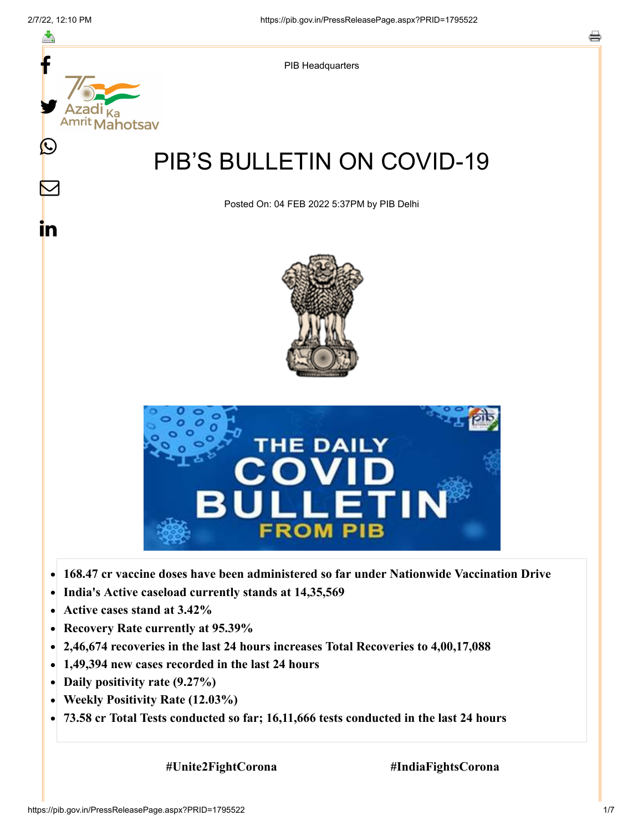≛

 $\bm{\nabla}$ 

<u>in</u>



PIB Headquarters

# PIB'S BULLETIN ON COVID-19

Posted On: 04 FEB 2022 5:37PM by PIB Delhi





- **168.47 cr vaccine doses have been administered so far under Nationwide Vaccination Drive**  $\bullet$
- **India's Active caseload currently stands at 14,35,569**  $\bullet$
- **Active cases stand at 3.42%**  $\bullet$
- $\bullet$ **Recovery Rate currently at 95.39%**
- **2,46,674 recoveries in the last 24 hours increases Total Recoveries to 4,00,17,088**  $\bullet$
- **1,49,394 new cases recorded in the last 24 hours**
- **Daily positivity rate (9.27%)**
- **Weekly Positivity Rate (12.03%)**  $\bullet$
- **73.58 cr Total Tests conducted so far; 16,11,666 tests conducted in the last 24 hours**  $\bullet$

 **#Unite2FightCorona #IndiaFightsCorona**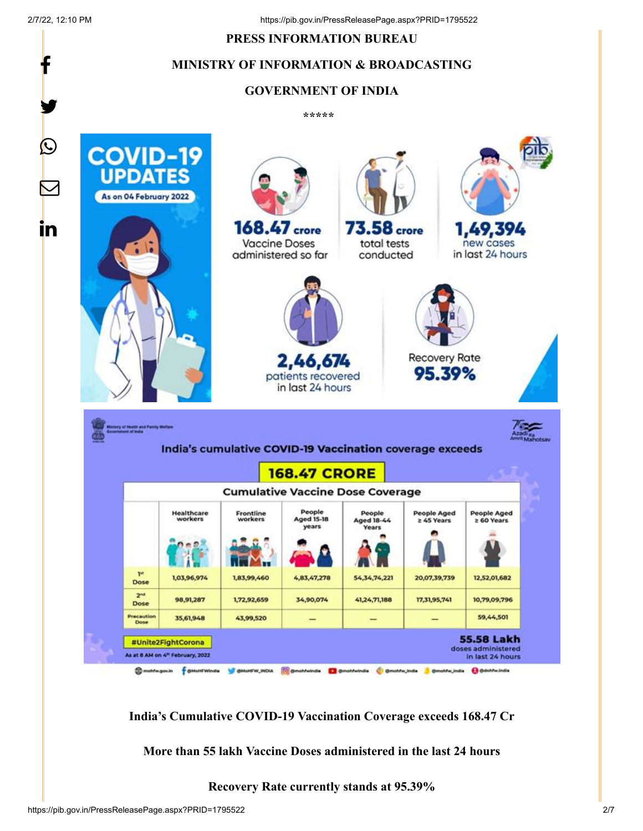f

y.

#### **PRESS INFORMATION BUREAU**

### **MINISTRY OF INFORMATION & BROADCASTING**

#### **GOVERNMENT OF INDIA**

**\*\*\*\*\*** 



**India's Cumulative COVID-19 Vaccination Coverage exceeds 168.47 Cr**

**More than 55 lakh Vaccine Doses administered in the last 24 hours**

**Recovery Rate currently stands at 95.39%**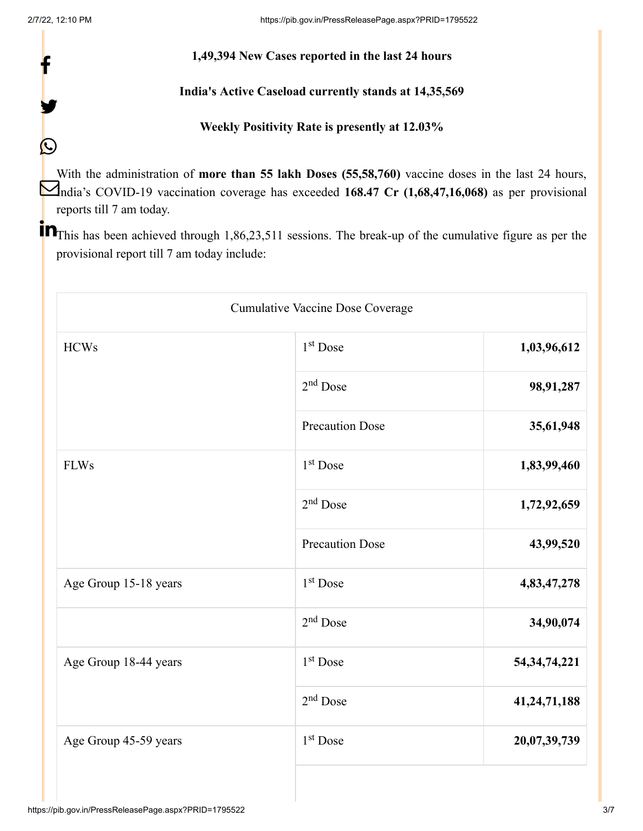f

y.

 $\bigcirc$ 

# **1,49,394 New Cases reported in the last 24 hours**

# **India's Active Caseload currently stands at 14,35,569**

# **Weekly Positivity Rate is presently at 12.03%**

With the administration of **more than 55 lakh Doses (55,58,760)** vaccine doses in the last 24 hours, India's COVID-19 vaccination coverage has exceeded **168.47 Cr (1,68,47,16,068)** as per provisional reports till 7 am today.

**The set of the Set and Set 1.**86,23,511 sessions. The break-up of the cumulative figure as per the **notational contract** provisional report till 7 am today include:

| Cumulative Vaccine Dose Coverage |                        |                 |  |  |
|----------------------------------|------------------------|-----------------|--|--|
| <b>HCWs</b>                      | 1 <sup>st</sup> Dose   | 1,03,96,612     |  |  |
|                                  | 2 <sup>nd</sup> Dose   | 98,91,287       |  |  |
|                                  | <b>Precaution Dose</b> | 35,61,948       |  |  |
| <b>FLWs</b>                      | 1 <sup>st</sup> Dose   | 1,83,99,460     |  |  |
|                                  | $2nd$ Dose             | 1,72,92,659     |  |  |
|                                  | <b>Precaution Dose</b> | 43,99,520       |  |  |
| Age Group 15-18 years            | 1 <sup>st</sup> Dose   | 4,83,47,278     |  |  |
|                                  | 2 <sup>nd</sup> Dose   | 34,90,074       |  |  |
| Age Group 18-44 years            | 1 <sup>st</sup> Dose   | 54, 34, 74, 221 |  |  |
|                                  | $2nd$ Dose             | 41,24,71,188    |  |  |
| Age Group 45-59 years            | 1 <sup>st</sup> Dose   | 20,07,39,739    |  |  |
|                                  |                        |                 |  |  |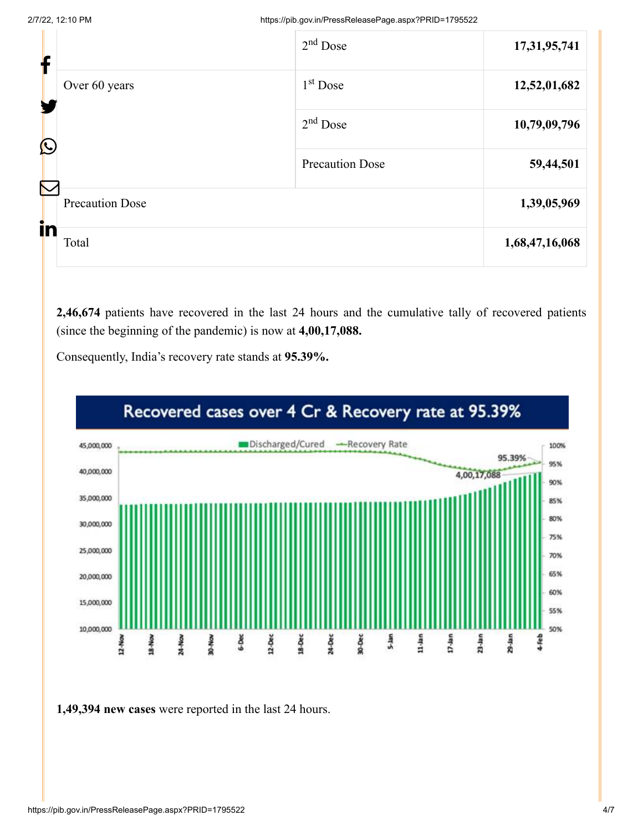| f                 |                                        | $2nd$ Dose             | 17,31,95,741   |
|-------------------|----------------------------------------|------------------------|----------------|
| $\mathbf{\Omega}$ | Over 60 years                          | $1st$ Dose             | 12,52,01,682   |
|                   |                                        | $2nd$ Dose             | 10,79,09,796   |
|                   |                                        | <b>Precaution Dose</b> | 59,44,501      |
|                   | $\bf \nabla$<br><b>Precaution Dose</b> |                        | 1,39,05,969    |
| in<br>Total       |                                        |                        | 1,68,47,16,068 |

**2,46,674** patients have recovered in the last 24 hours and the cumulative tally of recovered patients (since the beginning of the pandemic) is now at **4,00,17,088.**

Consequently, India's recovery rate stands at **95.39%.**



**1,49,394 new cases** were reported in the last 24 hours.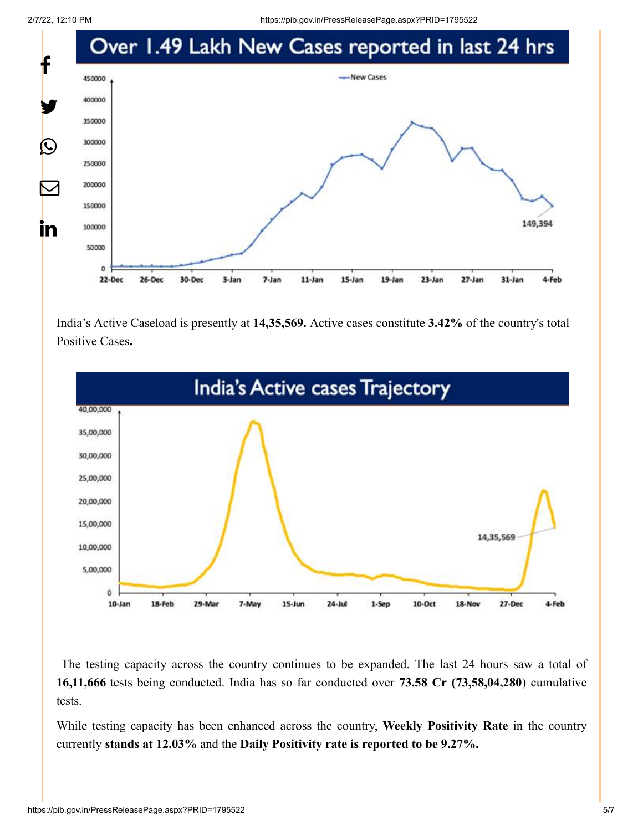2/7/22, 12:10 PM https://pib.gov.in/PressReleasePage.aspx?PRID=1795522



India's Active Caseload is presently at **14,35,569.** Active cases constitute **3.42%** of the country's total Positive Cases**.**



The testing capacity across the country continues to be expanded. The last 24 hours saw a total of **16,11,666** tests being conducted. India has so far conducted over **73.58 Cr (73,58,04,280**) cumulative tests.

While testing capacity has been enhanced across the country, **Weekly Positivity Rate** in the country currently **stands at 12.03%** and the **Daily Positivity rate is reported to be 9.27%.**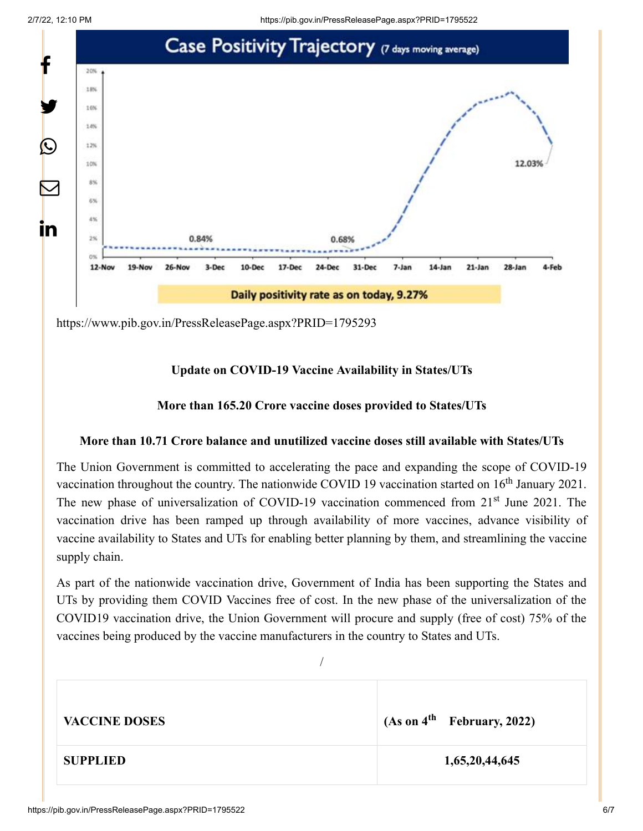

<https://www.pib.gov.in/PressReleasePage.aspx?PRID=1795293>

# **Update on COVID-19 Vaccine Availability in States/UTs**

### **More than 165.20 Crore vaccine doses provided to States/UTs**

### **More than 10.71 Crore balance and unutilized vaccine doses still available with States/UTs**

The Union Government is committed to accelerating the pace and expanding the scope of COVID-19 vaccination throughout the country. The nationwide COVID 19 vaccination started on  $16<sup>th</sup>$  January 2021. The new phase of universalization of COVID-19 vaccination commenced from 21<sup>st</sup> June 2021. The vaccination drive has been ramped up through availability of more vaccines, advance visibility of vaccine availability to States and UTs for enabling better planning by them, and streamlining the vaccine supply chain.

As part of the nationwide vaccination drive, Government of India has been supporting the States and UTs by providing them COVID Vaccines free of cost. In the new phase of the universalization of the COVID19 vaccination drive, the Union Government will procure and supply (free of cost) 75% of the vaccines being produced by the vaccine manufacturers in the country to States and UTs.

| <b>VACCINE DOSES</b> | (As on 4 <sup>th</sup> February, 2022) |
|----------------------|----------------------------------------|
| <b>SUPPLIED</b>      | 1,65,20,44,645                         |